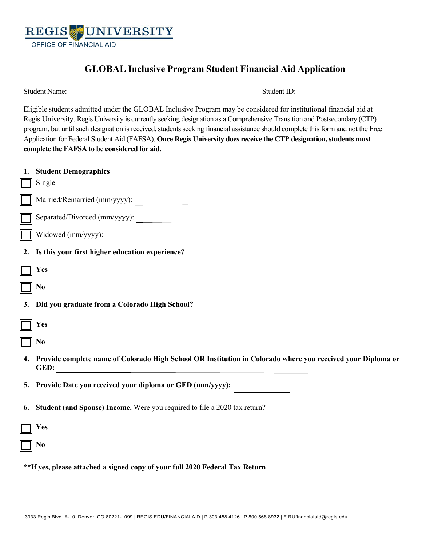

# **GLOBAL Inclusive Program Student Financial Aid Application**

Student Name: Student ID: Student ID: Student ID: Student ID: Student ID: Student ID: Student ID: Student ID: Student ID: Student ID: Student ID: Student ID: Student ID: Student ID: Student ID: Student ID: Student ID: Stud

Eligible students admitted under the GLOBAL Inclusive Program may be considered for institutional financial aid at Regis University. Regis University is currently seeking designation as a Comprehensive Transition and Postsecondary (CTP) program, but until such designation is received, students seeking financial assistance should complete this form and not the Free Application for Federal Student Aid (FAFSA). **Once Regis University does receive the CTP designation, students must complete the FAFSA to be considered for aid.** 

|                                                                              | 1. Student Demographics<br>Single                                                                           |  |
|------------------------------------------------------------------------------|-------------------------------------------------------------------------------------------------------------|--|
|                                                                              | Married/Remarried (mm/yyyy):                                                                                |  |
| $\Box$                                                                       | Separated/Divorced (mm/yyyy):                                                                               |  |
|                                                                              | $\Box$ Widowed (mm/yyyy): $\Box$                                                                            |  |
|                                                                              | 2. Is this your first higher education experience?                                                          |  |
|                                                                              | Yes                                                                                                         |  |
| $\Box$                                                                       | N <sub>0</sub>                                                                                              |  |
|                                                                              | 3. Did you graduate from a Colorado High School?                                                            |  |
| $\Box$                                                                       | Yes                                                                                                         |  |
| $\Box$ No                                                                    |                                                                                                             |  |
| 4.                                                                           | Provide complete name of Colorado High School OR Institution in Colorado where you received your Diploma or |  |
|                                                                              | 5. Provide Date you received your diploma or GED (mm/yyyy):                                                 |  |
| 6.                                                                           | Student (and Spouse) Income. Were you required to file a 2020 tax return?                                   |  |
|                                                                              | Yes                                                                                                         |  |
| $\Box$ No                                                                    |                                                                                                             |  |
| **If yes, please attached a signed copy of your full 2020 Federal Tax Return |                                                                                                             |  |